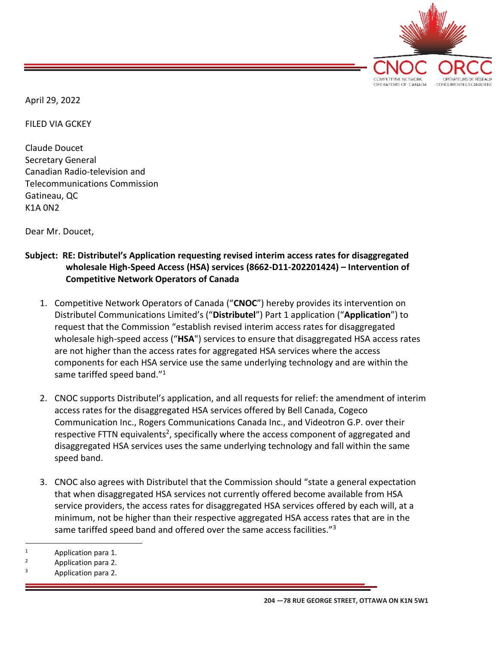

April 29, 2022

FILED VIA GCKEY

Claude Doucet Secretary General Canadian Radio-television and Telecommunications Commission Gatineau, QC K1A 0N2

Dear Mr. Doucet,

## **Subject: RE: Distributel's Application requesting revised interim access rates for disaggregated wholesale High-Speed Access (HSA) services (8662-D11-202201424) – Intervention of Competitive Network Operators of Canada**

- 1. Competitive Network Operators of Canada ("**CNOC**") hereby provides its intervention on Distributel Communications Limited's ("**Distributel**") Part 1 application ("**Application**") to request that the Commission "establish revised interim access rates for disaggregated wholesale high-speed access ("**HSA**") services to ensure that disaggregated HSA access rates are not higher than the access rates for aggregated HSA services where the access components for each HSA service use the same underlying technology and are within the same tariffed speed band."<sup>1</sup>
- 2. CNOC supports Distributel's application, and all requests for relief: the amendment of interim access rates for the disaggregated HSA services offered by Bell Canada, Cogeco Communication Inc., Rogers Communications Canada Inc., and Videotron G.P. over their respective FTTN equivalents<sup>2</sup>, specifically where the access component of aggregated and disaggregated HSA services uses the same underlying technology and fall within the same speed band.
- 3. CNOC also agrees with Distributel that the Commission should "state a general expectation that when disaggregated HSA services not currently offered become available from HSA service providers, the access rates for disaggregated HSA services offered by each will, at a minimum, not be higher than their respective aggregated HSA access rates that are in the same tariffed speed band and offered over the same access facilities."<sup>3</sup>

<sup>1</sup> Application para 1.

<sup>2</sup> Application para 2.

Application para 2.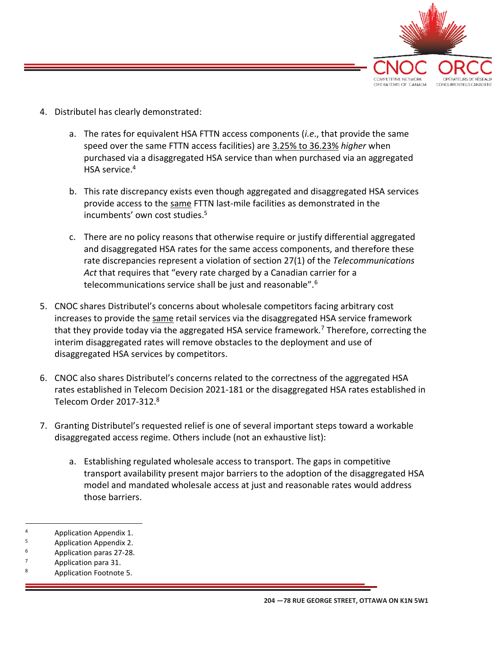

- 4. Distributel has clearly demonstrated:
	- a. The rates for equivalent HSA FTTN access components (*i.e*., that provide the same speed over the same FTTN access facilities) are 3.25% to 36.23% *higher* when purchased via a disaggregated HSA service than when purchased via an aggregated HSA service. 4
	- b. This rate discrepancy exists even though aggregated and disaggregated HSA services provide access to the same FTTN last-mile facilities as demonstrated in the incumbents' own cost studies. 5
	- c. There are no policy reasons that otherwise require or justify differential aggregated and disaggregated HSA rates for the same access components, and therefore these rate discrepancies represent a violation of section 27(1) of the *Telecommunications Act* that requires that "every rate charged by a Canadian carrier for a telecommunications service shall be just and reasonable".<sup>6</sup>
- 5. CNOC shares Distributel's concerns about wholesale competitors facing arbitrary cost increases to provide the same retail services via the disaggregated HSA service framework that they provide today via the aggregated HSA service framework.<sup>7</sup> Therefore, correcting the interim disaggregated rates will remove obstacles to the deployment and use of disaggregated HSA services by competitors.
- 6. CNOC also shares Distributel's concerns related to the correctness of the aggregated HSA rates established in Telecom Decision 2021-181 or the disaggregated HSA rates established in Telecom Order 2017-312.<sup>8</sup>
- 7. Granting Distributel's requested relief is one of several important steps toward a workable disaggregated access regime. Others include (not an exhaustive list):
	- a. Establishing regulated wholesale access to transport. The gaps in competitive transport availability present major barriers to the adoption of the disaggregated HSA model and mandated wholesale access at just and reasonable rates would address those barriers.
- $^{4}$  Application Appendix 1.
- <sup>5</sup> Application Appendix 2.
- <sup>6</sup> Application paras 27-28.
- $\frac{7}{8}$  Application para 31.
- Application Footnote 5.